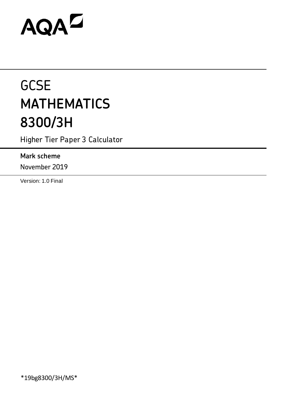# AQAZ

# **GCSE MATHEMATICS 8300/3H**

Higher Tier Paper 3 Calculator

# **Mark scheme**

November 2019

Version: 1.0 Final

\*19bg8300/3H/MS\*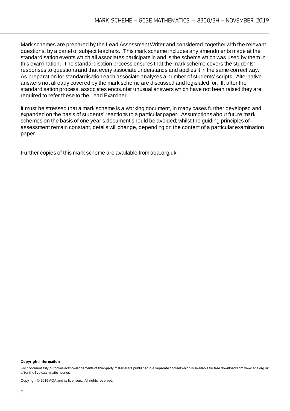Mark schemes are prepared by the Lead Assessment Writer and considered, together with the relevant questions, by a panel of subject teachers. This mark scheme includes any amendments made at the standardisation events which all associates participate in and is the scheme which was used by them in this examination. The standardisation process ensures that the mark scheme covers the students' responses to questions and that every associate understands and applies it in the same correct way. As preparation for standardisation each associate analyses a number of students' scripts. Alternative answers not already covered by the mark scheme are discussed and legislated for. If, after the standardisation process, associates encounter unusual answers which have not been raised they are required to refer these to the Lead Examiner.

It must be stressed that a mark scheme is a working document, in many cases further developed and expanded on the basis of students' reactions to a particular paper. Assumptions about future mark schemes on the basis of one year's document should be avoided; whilst the guiding principles of assessment remain constant, details will change, depending on the content of a particular examination paper.

Further copies of this mark scheme are available from aqa.org.uk

#### **Copyright information**

For confidentiality purposes acknowledgements of third-party material are published in a separate booklet which is available for free download from www.aqa.org.uk af ter the live examination series.

Copy right © 2019 AQA and its licensors. All rights reserved.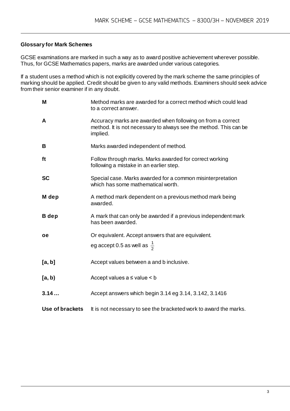#### **Glossary for Mark Schemes**

GCSE examinations are marked in such a way as to award positive achievement wherever possible. Thus, for GCSE Mathematics papers, marks are awarded under various categories.

If a student uses a method which is not explicitly covered by the mark scheme the same principles of marking should be applied. Credit should be given to any valid methods. Examiners should seek advice from their senior examiner if in any doubt.

| M               | Method marks are awarded for a correct method which could lead<br>to a correct answer.                                                       |
|-----------------|----------------------------------------------------------------------------------------------------------------------------------------------|
| A               | Accuracy marks are awarded when following on from a correct<br>method. It is not necessary to always see the method. This can be<br>implied. |
| B               | Marks awarded independent of method.                                                                                                         |
| ft              | Follow through marks. Marks awarded for correct working<br>following a mistake in an earlier step.                                           |
| <b>SC</b>       | Special case. Marks awarded for a common misinterpretation<br>which has some mathematical worth.                                             |
| M dep           | A method mark dependent on a previous method mark being<br>awarded.                                                                          |
| <b>B</b> dep    | A mark that can only be awarded if a previous independent mark<br>has been awarded.                                                          |
| <b>oe</b>       | Or equivalent. Accept answers that are equivalent.                                                                                           |
|                 | eg accept 0.5 as well as $\frac{1}{2}$                                                                                                       |
| [a, b]          | Accept values between a and b inclusive.                                                                                                     |
| [a, b)          | Accept values $a \leq$ value $\leq b$                                                                                                        |
| 3.14            | Accept answers which begin 3.14 eg 3.14, 3.142, 3.1416                                                                                       |
| Use of brackets | It is not necessary to see the bracketed work to award the marks.                                                                            |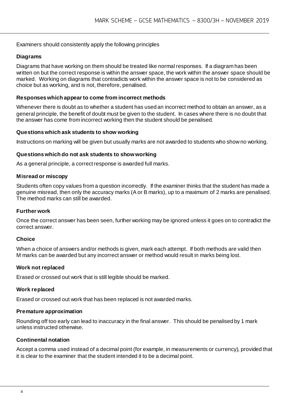#### Examiners should consistently apply the following principles

#### **Diagrams**

Diagrams that have working on them should be treated like normal responses. If a diagram has been written on but the correct response is within the answer space, the work within the answer space should be marked. Working on diagrams that contradicts work within the answer space is not to be considered as choice but as working, and is not, therefore, penalised.

#### **Responses which appear to come from incorrect methods**

Whenever there is doubt as to whether a student has used an incorrect method to obtain an answer, as a general principle, the benefit of doubt must be given to the student. In cases where there is no doubt that the answer has come from incorrect working then the student should be penalised.

#### **Questions which ask students to show working**

Instructions on marking will be given but usually marks are not awarded to students who show no working.

#### **Questions which do not ask students to show working**

As a general principle, a correct response is awarded full marks.

#### **Misread or miscopy**

Students often copy values from a question incorrectly. If the examiner thinks that the student has made a genuine misread, then only the accuracy marks (A or B marks), up to a maximum of 2 marks are penalised. The method marks can still be awarded.

#### **Further work**

Once the correct answer has been seen, further working may be ignored unless it goes on to contradict the correct answer.

#### **Choice**

When a choice of answers and/or methods is given, mark each attempt. If both methods are valid then M marks can be awarded but any incorrect answer or method would result in marks being lost.

#### **Work not replaced**

Erased or crossed out work that is still legible should be marked.

#### **Work replaced**

Erased or crossed out work that has been replaced is not awarded marks.

#### **Premature approximation**

Rounding off too early can lead to inaccuracy in the final answer. This should be penalised by 1 mark unless instructed otherwise.

#### **Continental notation**

Accept a comma used instead of a decimal point (for example, in measurements or currency), provided that it is clear to the examiner that the student intended it to be a decimal point.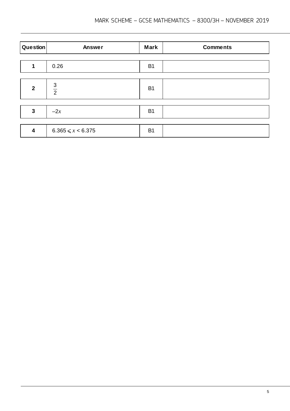| Question                | Answer                | <b>Mark</b> | <b>Comments</b> |
|-------------------------|-----------------------|-------------|-----------------|
|                         |                       |             |                 |
|                         | 0.26                  | <b>B1</b>   |                 |
|                         |                       |             |                 |
| $\overline{2}$          | $rac{3}{2}$           | <b>B1</b>   |                 |
|                         |                       |             |                 |
| 3                       | $-2x$                 | <b>B1</b>   |                 |
|                         |                       |             |                 |
| $\overline{\mathbf{4}}$ | $6.365 \le x < 6.375$ | <b>B1</b>   |                 |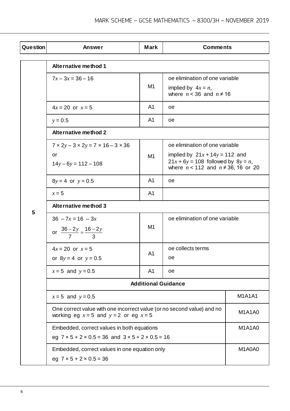| Question | <b>Answer</b>                                                                                                          | <b>Mark</b>    | <b>Comments</b>                                                                                                           |               |  |
|----------|------------------------------------------------------------------------------------------------------------------------|----------------|---------------------------------------------------------------------------------------------------------------------------|---------------|--|
|          | <b>Alternative method 1</b>                                                                                            |                |                                                                                                                           |               |  |
|          | $7x - 3x = 36 - 16$                                                                                                    |                | oe elimination of one variable                                                                                            |               |  |
|          |                                                                                                                        | M <sub>1</sub> | implied by $4x = n$ ,<br>where $n < 36$ and $n \neq 16$                                                                   |               |  |
|          | $4x = 20$ or $x = 5$                                                                                                   | A <sub>1</sub> | oe                                                                                                                        |               |  |
|          | $y = 0.5$                                                                                                              | A1             | oe                                                                                                                        |               |  |
|          | <b>Alternative method 2</b>                                                                                            |                |                                                                                                                           |               |  |
|          | $7 \times 2y - 3 \times 2y = 7 \times 16 - 3 \times 36$                                                                |                | oe elimination of one variable                                                                                            |               |  |
|          | or<br>$14y - 6y = 112 - 108$                                                                                           | M1             | implied by $21x + 14y = 112$ and<br>$21x + 6y = 108$ followed by $8y = n$ ,<br>where $n < 112$ and $n \neq 36$ , 16 or 20 |               |  |
|          | $8y = 4$ or $y = 0.5$                                                                                                  | A <sub>1</sub> | oe                                                                                                                        |               |  |
|          | $x = 5$                                                                                                                | A <sub>1</sub> |                                                                                                                           |               |  |
|          | <b>Alternative method 3</b>                                                                                            |                |                                                                                                                           |               |  |
| 5        | $36 - 7x = 16 - 3x$                                                                                                    |                | oe elimination of one variable                                                                                            |               |  |
|          | or $\frac{36-2y}{7} = \frac{16-2y}{3}$                                                                                 | M1             |                                                                                                                           |               |  |
|          | $4x = 20$ or $x = 5$                                                                                                   | A <sub>1</sub> | oe collects terms                                                                                                         |               |  |
|          | or $8y = 4$ or $y = 0.5$                                                                                               |                | οe                                                                                                                        |               |  |
|          | $x = 5$ and $y = 0.5$                                                                                                  | A <sub>1</sub> | oe                                                                                                                        |               |  |
|          | <b>Additional Guidance</b>                                                                                             |                |                                                                                                                           |               |  |
|          | $x = 5$ and $y = 0.5$                                                                                                  |                |                                                                                                                           | <b>M1A1A1</b> |  |
|          | One correct value with one incorrect value (or no second value) and no<br>working eg $x = 5$ and $y = 2$ or eg $x = 5$ |                |                                                                                                                           | M1A1A0        |  |
|          | Embedded, correct values in both equations                                                                             |                |                                                                                                                           | M1A1A0        |  |
|          | eg $7 \times 5 + 2 \times 0.5 = 36$ and $3 \times 5 + 2 \times 0.5 = 16$                                               |                |                                                                                                                           |               |  |
|          | Embedded, correct values in one equation only                                                                          |                |                                                                                                                           | M1A0A0        |  |
|          | eg $7 \times 5 + 2 \times 0.5 = 36$                                                                                    |                |                                                                                                                           |               |  |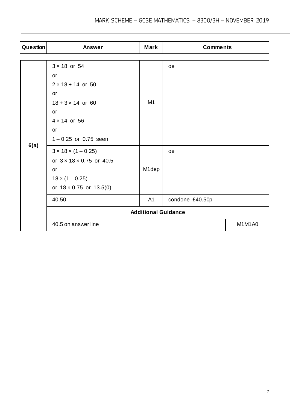| Question | <b>Answer</b>                        | <b>Mark</b> | <b>Comments</b> |        |
|----------|--------------------------------------|-------------|-----------------|--------|
|          |                                      |             |                 |        |
|          | $3 \times 18$ or 54                  |             | oe              |        |
|          | or                                   |             |                 |        |
|          | $2 \times 18 + 14$ or 50             |             |                 |        |
|          | or                                   |             |                 |        |
|          | $18 + 3 \times 14$ or 60             | M1          |                 |        |
|          | or                                   |             |                 |        |
|          | $4 \times 14$ or 56                  |             |                 |        |
|          | or                                   |             |                 |        |
|          | $1 - 0.25$ or 0.75 seen              |             |                 |        |
| 6(a)     | $3 \times 18 \times (1 - 0.25)$      |             | oe              |        |
|          | or $3 \times 18 \times 0.75$ or 40.5 |             |                 |        |
|          | or                                   | M1dep       |                 |        |
|          | $18 \times (1 - 0.25)$               |             |                 |        |
|          | or $18 \times 0.75$ or $13.5(0)$     |             |                 |        |
|          | 40.50                                | A1          | condone £40.50p |        |
|          | <b>Additional Guidance</b>           |             |                 |        |
|          | 40.5 on answer line                  |             |                 | M1M1A0 |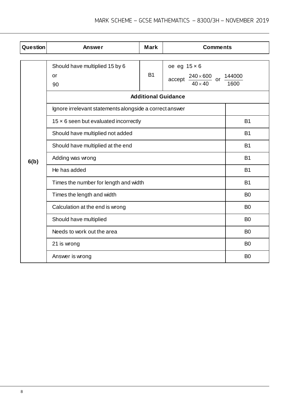| <b>Question</b> | <b>Answer</b>                                           | <b>Mark</b>                | <b>Comments</b>                                                  |                |
|-----------------|---------------------------------------------------------|----------------------------|------------------------------------------------------------------|----------------|
|                 |                                                         |                            |                                                                  |                |
|                 | Should have multiplied 15 by 6                          |                            | oe eg $15 \times 6$                                              |                |
|                 | or                                                      | <b>B1</b>                  | $\frac{240 \times 600}{1000}$ or $\frac{144000}{1000}$<br>accept |                |
|                 | 90                                                      |                            | $40 \times 40$                                                   | 1600           |
|                 |                                                         | <b>Additional Guidance</b> |                                                                  |                |
|                 | Ignore irrelevant statements alongside a correct answer |                            |                                                                  |                |
|                 | $15 \times 6$ seen but evaluated incorrectly            |                            |                                                                  | <b>B1</b>      |
|                 | Should have multiplied not added                        |                            |                                                                  | <b>B1</b>      |
|                 | Should have multiplied at the end                       |                            |                                                                  | <b>B1</b>      |
| 6(b)            | Adding was wrong                                        |                            |                                                                  | <b>B1</b>      |
|                 | He has added                                            |                            |                                                                  | <b>B1</b>      |
|                 | Times the number for length and width                   |                            |                                                                  | <b>B1</b>      |
|                 | Times the length and width                              |                            |                                                                  | B <sub>0</sub> |
|                 | Calculation at the end is wrong                         |                            |                                                                  | B <sub>0</sub> |
|                 | Should have multiplied                                  |                            |                                                                  | B <sub>0</sub> |
|                 | Needs to work out the area                              |                            |                                                                  | B <sub>0</sub> |
|                 | 21 is wrong                                             |                            |                                                                  | B <sub>0</sub> |
|                 | Answer is wrong                                         |                            |                                                                  | B <sub>0</sub> |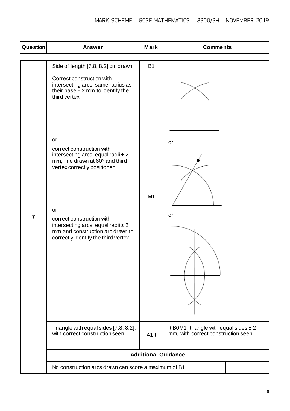| <b>Question</b> | <b>Answer</b>                                                                                                                                                                                                                                                                                       | <b>Mark</b>                | <b>Comments</b>                                                                 |  |
|-----------------|-----------------------------------------------------------------------------------------------------------------------------------------------------------------------------------------------------------------------------------------------------------------------------------------------------|----------------------------|---------------------------------------------------------------------------------|--|
|                 | Side of length [7.8, 8.2] cm drawn                                                                                                                                                                                                                                                                  | <b>B1</b>                  |                                                                                 |  |
|                 | Correct construction with<br>intersecting arcs, same radius as<br>their base $\pm 2$ mm to identify the<br>third vertex                                                                                                                                                                             |                            |                                                                                 |  |
| $\overline{7}$  | or<br>correct construction with<br>intersecting arcs, equal radii $\pm 2$<br>mm, line drawn at 60° and third<br>vertex correctly positioned<br>or<br>correct construction with<br>intersecting arcs, equal radii $\pm 2$<br>mm and construction arc drawn to<br>correctly identify the third vertex | M1                         | or<br>or                                                                        |  |
|                 | Triangle with equal sides [7.8, 8.2],<br>with correct construction seen                                                                                                                                                                                                                             | A <sub>1ft</sub>           | ft B0M1 triangle with equal sides $\pm 2$<br>mm, with correct construction seen |  |
|                 |                                                                                                                                                                                                                                                                                                     | <b>Additional Guidance</b> |                                                                                 |  |
|                 | No construction arcs drawn can score a maximum of B1                                                                                                                                                                                                                                                |                            |                                                                                 |  |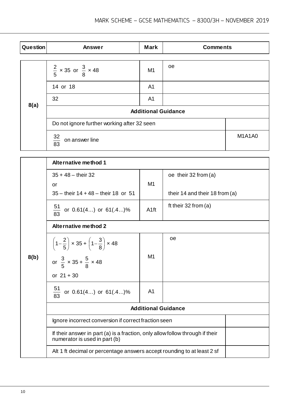| Question | <b>Answer</b>                               | <b>Mark</b>    | <b>Comments</b> |               |  |
|----------|---------------------------------------------|----------------|-----------------|---------------|--|
|          |                                             |                |                 |               |  |
|          | $\frac{2}{5}$ x 35 or $\frac{3}{8}$ x 48    | M <sub>1</sub> | oe              |               |  |
|          | 14 or 18                                    | A <sub>1</sub> |                 |               |  |
| 8(a)     | 32                                          | A <sub>1</sub> |                 |               |  |
|          | <b>Additional Guidance</b>                  |                |                 |               |  |
|          | Do not ignore further working after 32 seen |                |                 |               |  |
|          | $\frac{32}{83}$<br>on answer line           |                |                 | <b>M1A1A0</b> |  |

|      | <b>Alternative method 1</b>                                                                                    |                  |                                                          |  |
|------|----------------------------------------------------------------------------------------------------------------|------------------|----------------------------------------------------------|--|
|      | $35 + 48 -$ their 32<br>or<br>$35 -$ their $14 + 48 -$ their 18 or 51                                          | M1               | oe their $32$ from (a)<br>their 14 and their 18 from (a) |  |
| 8(b) | $\frac{51}{83}$<br>or $0.61(4)$ or $61(.4)$ %                                                                  | A <sub>1ft</sub> | ft their $32$ from (a)                                   |  |
|      | <b>Alternative method 2</b>                                                                                    |                  |                                                          |  |
|      | $\left(1-\frac{2}{5}\right) \times 35 + \left(1-\frac{3}{8}\right) \times 48$                                  |                  | oe                                                       |  |
|      | or $\frac{3}{5} \times 35 + \frac{5}{8} \times 48$                                                             | M1               |                                                          |  |
|      | or $21 + 30$                                                                                                   |                  |                                                          |  |
|      | $\frac{51}{83}$ or 0.61(4) or 61(.4)%                                                                          | A <sub>1</sub>   |                                                          |  |
|      | <b>Additional Guidance</b>                                                                                     |                  |                                                          |  |
|      | Ignore incorrect conversion if correct fraction seen                                                           |                  |                                                          |  |
|      | If their answer in part (a) is a fraction, only allow follow through if their<br>numerator is used in part (b) |                  |                                                          |  |
|      | Alt 1 ft decimal or percentage answers accept rounding to at least 2 sf                                        |                  |                                                          |  |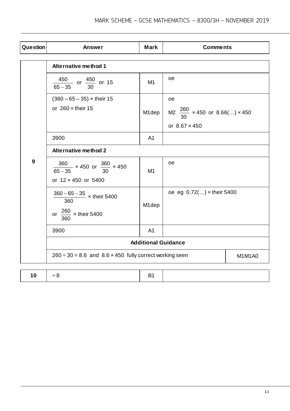| Question         | <b>Answer</b>                                                                        | <b>Mark</b>        | <b>Comments</b>                           |        |
|------------------|--------------------------------------------------------------------------------------|--------------------|-------------------------------------------|--------|
|                  | <b>Alternative method 1</b>                                                          |                    |                                           |        |
|                  | $\frac{450}{65-35}$ or $\frac{450}{30}$ or 15                                        | M1                 | <b>oe</b>                                 |        |
|                  | $(360 - 65 - 35) \times$ their 15                                                    |                    | <b>oe</b>                                 |        |
|                  | or $260 \times$ their 15                                                             | M1dep              | M2 $\frac{260}{30}$ × 450 or 8.66() × 450 |        |
|                  |                                                                                      |                    | or $8.67 \times 450$                      |        |
|                  | 3900                                                                                 | A <sub>1</sub>     |                                           |        |
|                  | <b>Alternative method 2</b>                                                          |                    |                                           |        |
| $\boldsymbol{9}$ | $\frac{360}{65-35}$ × 450 or $\frac{360}{30}$ × 450<br>or 12 × 450 or 5400           | M <sub>1</sub>     | oe                                        |        |
|                  | $\frac{360 - 65 - 35}{100}$ x their 5400<br>360<br>or $\frac{260}{360}$ × their 5400 | M <sub>1</sub> dep | oe eg 0.72() x their 5400                 |        |
|                  | 3900                                                                                 | A <sub>1</sub>     |                                           |        |
|                  | <b>Additional Guidance</b>                                                           |                    |                                           |        |
|                  | $260 \div 30 = 8.6$ and $8.6 \times 450$ fully correct working seen                  |                    |                                           | M1M1A0 |
|                  |                                                                                      |                    |                                           |        |
| 10               | $\div 8$                                                                             | <b>B1</b>          |                                           |        |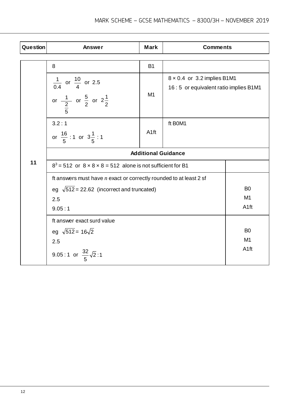| Question                                                                                                                                   | Answer                                                                                                      | <b>Mark</b>      | <b>Comments</b>                                                               |                              |
|--------------------------------------------------------------------------------------------------------------------------------------------|-------------------------------------------------------------------------------------------------------------|------------------|-------------------------------------------------------------------------------|------------------------------|
|                                                                                                                                            | 8                                                                                                           | <b>B1</b>        |                                                                               |                              |
|                                                                                                                                            | $\frac{1}{0.4}$ or $\frac{10}{4}$ or 2.5<br>or $\frac{1}{2}$ or $\frac{5}{2}$ or $2\frac{1}{2}$             | M1               | $8 \times 0.4$ or 3.2 implies B1M1<br>16 : 5 or equivalent ratio implies B1M1 |                              |
|                                                                                                                                            | 3.2:1<br>or $\frac{16}{5}$ : 1 or $3\frac{1}{5}$ : 1                                                        | A <sub>1ft</sub> | ft BOM1                                                                       |                              |
|                                                                                                                                            | <b>Additional Guidance</b>                                                                                  |                  |                                                                               |                              |
| 11                                                                                                                                         | $8^3$ = 512 or $8 \times 8 \times 8$ = 512 alone is not sufficient for B1                                   |                  |                                                                               |                              |
| It answers must have $n$ exact or correctly rounded to at least 2 sf<br>eg $\sqrt{512}$ = 22.62 (incorrect and truncated)<br>2.5<br>9.05:1 |                                                                                                             |                  |                                                                               | B <sub>0</sub><br>M1<br>A1ft |
|                                                                                                                                            | ft answer exact surd value<br>eg $\sqrt{512}$ = 16 $\sqrt{2}$<br>2.5<br>9.05:1 or $\frac{32}{5}\sqrt{2}$ :1 |                  |                                                                               | B <sub>0</sub><br>M1<br>A1ft |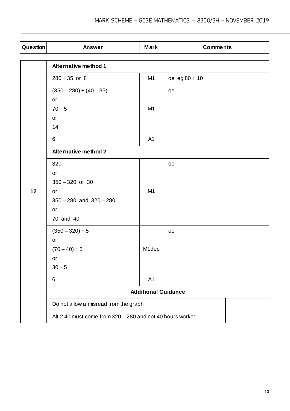| Question | <b>Answer</b>                                             | <b>Mark</b>                | <b>Comments</b>      |  |
|----------|-----------------------------------------------------------|----------------------------|----------------------|--|
|          | <b>Alternative method 1</b>                               |                            |                      |  |
|          |                                                           |                            |                      |  |
|          | $280 \div 35$ or 8                                        | M1                         | $oe$ eg $80 \div 10$ |  |
|          | $(350 - 280) \div (40 - 35)$                              |                            | oe                   |  |
|          | or                                                        |                            |                      |  |
|          | $70 \div 5$                                               | M <sub>1</sub>             |                      |  |
|          | or                                                        |                            |                      |  |
|          | 14                                                        |                            |                      |  |
|          | 6                                                         | A1                         |                      |  |
|          | <b>Alternative method 2</b>                               |                            |                      |  |
|          | 320                                                       |                            | oe                   |  |
|          | or                                                        |                            |                      |  |
|          | $350 - 320$ or 30                                         |                            |                      |  |
| 12       | or                                                        | M <sub>1</sub>             |                      |  |
|          | $350 - 280$ and $320 - 280$                               |                            |                      |  |
|          | or                                                        |                            |                      |  |
|          | 70 and 40                                                 |                            |                      |  |
|          | $(350 - 320) \div 5$                                      |                            | oe                   |  |
|          | or                                                        |                            |                      |  |
|          | $(70-40) \div 5$                                          | M1dep                      |                      |  |
|          | or                                                        |                            |                      |  |
|          | $30 \div 5$                                               |                            |                      |  |
|          | 6                                                         | A <sub>1</sub>             |                      |  |
|          |                                                           | <b>Additional Guidance</b> |                      |  |
|          | Do not allow a misread from the graph                     |                            |                      |  |
|          | Alt 2 40 must come from 320 - 280 and not 40 hours worked |                            |                      |  |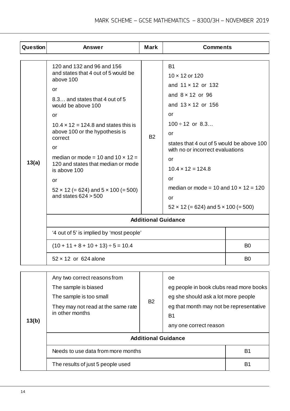| Question | <b>Answer</b>                                                                                                                                                                                                                                                                                                                                                                                                                               | <b>Mark</b> | <b>Comments</b>                                                                                                                                                                                                                                                                                                                                                                                 |                |
|----------|---------------------------------------------------------------------------------------------------------------------------------------------------------------------------------------------------------------------------------------------------------------------------------------------------------------------------------------------------------------------------------------------------------------------------------------------|-------------|-------------------------------------------------------------------------------------------------------------------------------------------------------------------------------------------------------------------------------------------------------------------------------------------------------------------------------------------------------------------------------------------------|----------------|
|          |                                                                                                                                                                                                                                                                                                                                                                                                                                             |             |                                                                                                                                                                                                                                                                                                                                                                                                 |                |
| 13(a)    | 120 and 132 and 96 and 156<br>and states that 4 out of 5 would be<br>above 100<br>or<br>8.3 and states that 4 out of 5<br>would be above 100<br>or<br>$10.4 \times 12 = 124.8$ and states this is<br>above 100 or the hypothesis is<br>correct<br>or<br>median or mode = 10 and $10 \times 12 =$<br>120 and states that median or mode<br>is above 100<br>or<br>$52 \times 12 (= 624)$ and $5 \times 100 (= 500)$<br>and states $624 > 500$ | <b>B2</b>   | <b>B1</b><br>10 x 12 or 120<br>and $11 \times 12$ or 132<br>and $8 \times 12$ or 96<br>and $13 \times 12$ or 156<br>or<br>$100 \div 12$ or 8.3<br>or<br>states that 4 out of 5 would be above 100<br>with no or incorrect evaluations<br>or<br>$10.4 \times 12 = 124.8$<br><b>or</b><br>median or mode = 10 and $10 \times 12 = 120$<br>or<br>$52 \times 12 (= 624)$ and $5 \times 100 (= 500)$ |                |
|          | <b>Additional Guidance</b>                                                                                                                                                                                                                                                                                                                                                                                                                  |             |                                                                                                                                                                                                                                                                                                                                                                                                 |                |
|          | '4 out of 5' is implied by 'most people'                                                                                                                                                                                                                                                                                                                                                                                                    |             |                                                                                                                                                                                                                                                                                                                                                                                                 |                |
|          | $(10 + 11 + 8 + 10 + 13) \div 5 = 10.4$                                                                                                                                                                                                                                                                                                                                                                                                     |             |                                                                                                                                                                                                                                                                                                                                                                                                 | B <sub>0</sub> |
|          | 52 x 12 or 624 alone                                                                                                                                                                                                                                                                                                                                                                                                                        |             |                                                                                                                                                                                                                                                                                                                                                                                                 | B <sub>0</sub> |
|          |                                                                                                                                                                                                                                                                                                                                                                                                                                             |             |                                                                                                                                                                                                                                                                                                                                                                                                 |                |
| 13(b)    | Any two correct reasons from<br>The sample is biased<br>The sample is too small<br>They may not read at the same rate<br>in other months                                                                                                                                                                                                                                                                                                    | <b>B2</b>   | 0e<br>eg people in book clubs read more books<br>eg she should ask a lot more people<br>eg that month may not be representative<br>B <sub>1</sub><br>any one correct reason                                                                                                                                                                                                                     |                |
|          |                                                                                                                                                                                                                                                                                                                                                                                                                                             |             | <b>Additional Guidance</b>                                                                                                                                                                                                                                                                                                                                                                      |                |
|          | Needs to use data from more months                                                                                                                                                                                                                                                                                                                                                                                                          |             |                                                                                                                                                                                                                                                                                                                                                                                                 | <b>B1</b>      |
|          | The results of just 5 people used                                                                                                                                                                                                                                                                                                                                                                                                           |             |                                                                                                                                                                                                                                                                                                                                                                                                 | <b>B1</b>      |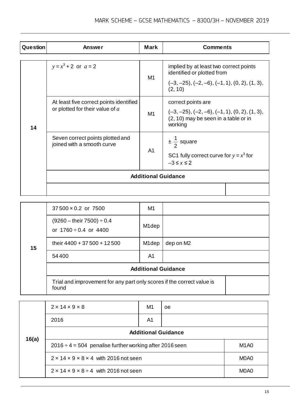| <b>Question</b> | <b>Answer</b>                                                              | <b>Mark</b>    | <b>Comments</b>                                                                                                                    |  |
|-----------------|----------------------------------------------------------------------------|----------------|------------------------------------------------------------------------------------------------------------------------------------|--|
|                 |                                                                            |                |                                                                                                                                    |  |
| 14              | $y = x^3 + 2$ or $a = 2$                                                   | M1             | implied by at least two correct points<br>identified or plotted from<br>$(-3, -25), (-2, -6), (-1, 1), (0, 2), (1, 3),$<br>(2, 10) |  |
|                 | At least five correct points identified<br>or plotted for their value of a | M1             | correct points are<br>$(-3, -25), (-2, -6), (-1, 1), (0, 2), (1, 3),$<br>(2, 10) may be seen in a table or in<br>working           |  |
|                 | Seven correct points plotted and<br>joined with a smooth curve             | A <sub>1</sub> | $\pm \frac{1}{2}$ square<br>SC1 fully correct curve for $y = x^3$ for<br>$-3 \leq x \leq 2$                                        |  |
|                 | <b>Additional Guidance</b>                                                 |                |                                                                                                                                    |  |
|                 |                                                                            |                |                                                                                                                                    |  |

|    | $37500 \times 0.2$ or 7500                                                      | M1                 |           |  |  |
|----|---------------------------------------------------------------------------------|--------------------|-----------|--|--|
| 15 | $(9260 -$ their 7500) $\div$ 0.4<br>or $1760 \div 0.4$ or $4400$                | M <sub>1</sub> dep |           |  |  |
|    | their 4400 + 37 500 + 12 500                                                    | M <sub>1</sub> dep | dep on M2 |  |  |
|    | 54400                                                                           | A1                 |           |  |  |
|    | <b>Additional Guidance</b>                                                      |                    |           |  |  |
|    | Trial and improvement for any part only scores if the correct value is<br>found |                    |           |  |  |

| 16(a) | $2 \times 14 \times 9 \times 8$                              | M1                            | oe |                               |  |
|-------|--------------------------------------------------------------|-------------------------------|----|-------------------------------|--|
|       | 2016                                                         | A <sub>1</sub>                |    |                               |  |
|       | <b>Additional Guidance</b>                                   |                               |    |                               |  |
|       | $2016 \div 4 = 504$ penalise further working after 2016 seen |                               |    | M <sub>1</sub> A <sub>0</sub> |  |
|       | $2 \times 14 \times 9 \times 8 \times 4$ with 2016 not seen  |                               |    | M <sub>0</sub> A <sub>0</sub> |  |
|       | $2 \times 14 \times 9 \times 8 \div 4$ with 2016 not seen    | M <sub>0</sub> A <sub>0</sub> |    |                               |  |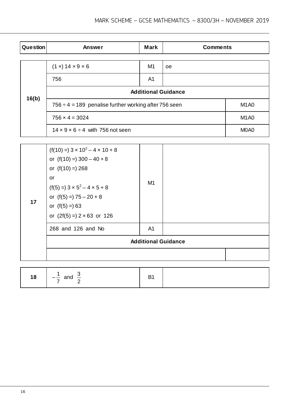| Question | Answer                                                     | <b>Mark</b>                   | <b>Comments</b> |                               |  |
|----------|------------------------------------------------------------|-------------------------------|-----------------|-------------------------------|--|
|          | (1 x) 14 x 9 x 6                                           | M1                            |                 |                               |  |
|          |                                                            |                               | oe              |                               |  |
|          | 756                                                        | A1                            |                 |                               |  |
|          | <b>Additional Guidance</b>                                 |                               |                 |                               |  |
| 16(b)    | $756 \div 4 = 189$ penalise further working after 756 seen | M <sub>1</sub> A <sub>0</sub> |                 |                               |  |
|          | $756 \times 4 = 3024$                                      | M <sub>1</sub> A <sub>0</sub> |                 |                               |  |
|          | $14 \times 9 \times 6 \div 4$ with 756 not seen            |                               |                 | M <sub>0</sub> A <sub>0</sub> |  |

| 17 | $(f(10) = 3 \times 10^2 - 4 \times 10 + 8$<br>or $(f(10) = 300 - 40 + 8$<br>or $(f(10) = 268$<br>or<br>$(f(5) = 3 \times 5^2 - 4 \times 5 + 8)$<br>or $(f(5) = 75 - 20 + 8)$<br>or $(f(5) =) 63$<br>or $(2f(5) = 2 \times 63)$ or 126 | M1             |  |
|----|---------------------------------------------------------------------------------------------------------------------------------------------------------------------------------------------------------------------------------------|----------------|--|
|    | 268 and 126 and No                                                                                                                                                                                                                    | A <sub>1</sub> |  |
|    | <b>Additional Guidance</b>                                                                                                                                                                                                            |                |  |
|    |                                                                                                                                                                                                                                       |                |  |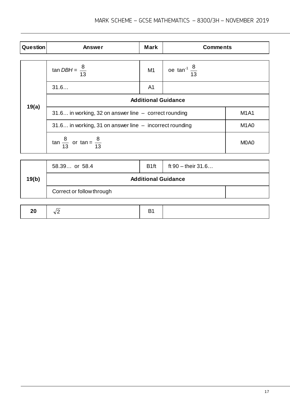| <b>Question</b> | Answer                                                      | <b>Mark</b>                   | <b>Comments</b>             |  |  |
|-----------------|-------------------------------------------------------------|-------------------------------|-----------------------------|--|--|
|                 | tan <i>DBH</i> = $\frac{8}{13}$                             | M1                            | oe $\tan^{-1} \frac{8}{13}$ |  |  |
|                 | 31.6                                                        | A <sub>1</sub>                |                             |  |  |
|                 | <b>Additional Guidance</b>                                  |                               |                             |  |  |
| 19(a)           | 31.6 in working, 32 on answer line - correct rounding       | <b>M1A1</b>                   |                             |  |  |
|                 | $31.6$ in working, 31 on answer line $-$ incorrect rounding | M <sub>1</sub> A <sub>0</sub> |                             |  |  |
|                 | $\tan \frac{8}{13}$ or $\tan = \frac{8}{13}$                | M <sub>0</sub> A <sub>0</sub> |                             |  |  |
|                 |                                                             |                               |                             |  |  |

|       | 58.39 or 58.4              | B <sub>1ft</sub> | ft $90 -$ their $31.6$ |  |
|-------|----------------------------|------------------|------------------------|--|
| 19(b) | <b>Additional Guidance</b> |                  |                        |  |
|       | Correct or follow through  |                  |                        |  |
|       |                            |                  |                        |  |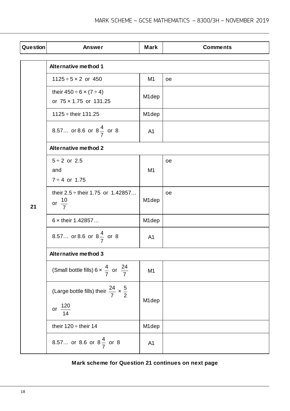| Question | <b>Answer</b>                                                                       | <b>Mark</b>        | <b>Comments</b> |  |  |
|----------|-------------------------------------------------------------------------------------|--------------------|-----------------|--|--|
|          | <b>Alternative method 1</b>                                                         |                    |                 |  |  |
|          | $1125 \div 5 \times 2$ or 450                                                       | M <sub>1</sub>     | oe              |  |  |
|          | their $450 \div 6 \times (7 \div 4)$<br>or 75 x 1.75 or 131.25                      | M <sub>1</sub> dep |                 |  |  |
|          | $1125 \div$ their 131.25                                                            | M <sub>1</sub> dep |                 |  |  |
|          | 8.57 or 8.6 or $8\frac{4}{7}$ or 8                                                  | A <sub>1</sub>     |                 |  |  |
|          | <b>Alternative method 2</b>                                                         |                    |                 |  |  |
|          | $5 \div 2$ or 2.5<br>and<br>$7 \div 4$ or 1.75                                      | M <sub>1</sub>     | <b>oe</b>       |  |  |
| 21       | their $2.5 \div$ their 1.75 or 1.42857<br>or $\frac{10}{7}$                         | M1dep              | oe              |  |  |
|          | $6 \times$ their 1.42857                                                            | M1dep              |                 |  |  |
|          | 8.57 or 8.6 or $8\frac{4}{7}$ or 8                                                  | A <sub>1</sub>     |                 |  |  |
|          | <b>Alternative method 3</b>                                                         |                    |                 |  |  |
|          | (Small bottle fills) 6 $\times$ $\frac{4}{7}$ or $\frac{24}{7}$                     | M <sub>1</sub>     |                 |  |  |
|          | (Large bottle fills) their $\frac{24}{7} \times \frac{5}{2}$<br>or $\frac{120}{14}$ | M1dep              |                 |  |  |
|          | their $120 \div$ their 14                                                           | M1dep              |                 |  |  |
|          | 8.57 or 8.6 or $8\frac{4}{7}$ or 8                                                  | A1                 |                 |  |  |

## **Mark scheme for Question 21 continues on next page**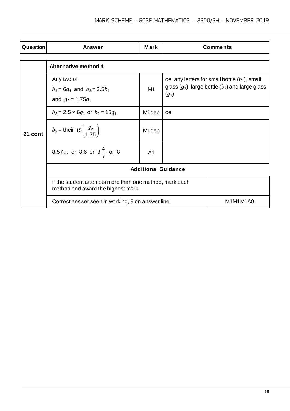| <b>Question</b> | Answer                                                                                       | <b>Mark</b>        |                                                                                                                    | <b>Comments</b> |  |
|-----------------|----------------------------------------------------------------------------------------------|--------------------|--------------------------------------------------------------------------------------------------------------------|-----------------|--|
|                 |                                                                                              |                    |                                                                                                                    |                 |  |
| 21 cont         | Alternative method 4                                                                         |                    |                                                                                                                    |                 |  |
|                 | Any two of<br>$b_1 = 6g_1$ and $b_2 = 2.5b_1$<br>and $g_2 = 1.75g_1$                         | M1                 | oe any letters for small bottle $(b_1)$ , small<br>glass $(g_1)$ , large bottle $(b_2)$ and large glass<br>$(g_2)$ |                 |  |
|                 | $b_2$ = 2.5 × 6g <sub>1</sub> or $b_2$ = 15g <sub>1</sub>                                    | M <sub>1</sub> dep | oe                                                                                                                 |                 |  |
|                 | $b_2$ = their 15 $\left(\frac{g_2}{1.75}\right)$                                             | M <sub>1</sub> dep |                                                                                                                    |                 |  |
|                 | 8.57 or 8.6 or $8\frac{4}{7}$ or 8                                                           | A <sub>1</sub>     |                                                                                                                    |                 |  |
|                 | <b>Additional Guidance</b>                                                                   |                    |                                                                                                                    |                 |  |
|                 | If the student attempts more than one method, mark each<br>method and award the highest mark |                    |                                                                                                                    |                 |  |
|                 | Correct answer seen in working, 9 on answer line                                             |                    |                                                                                                                    | M1M1M1A0        |  |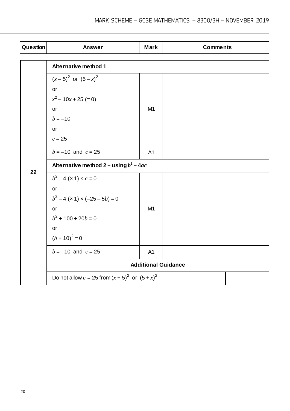| Question | <b>Answer</b>                                         | <b>Mark</b>    | <b>Comments</b> |  |  |
|----------|-------------------------------------------------------|----------------|-----------------|--|--|
|          | <b>Alternative method 1</b>                           |                |                 |  |  |
|          | $(x-5)^2$ or $(5-x)^2$                                |                |                 |  |  |
|          | or                                                    |                |                 |  |  |
|          | $x^2$ – 10x + 25 (= 0)                                |                |                 |  |  |
|          | or                                                    | M1             |                 |  |  |
|          | $b = -10$                                             |                |                 |  |  |
|          | or                                                    |                |                 |  |  |
|          | $c = 25$                                              |                |                 |  |  |
|          | $b = -10$ and $c = 25$                                | A <sub>1</sub> |                 |  |  |
| 22       | Alternative method $2 - u \sin \theta b^2 - 4ac$      |                |                 |  |  |
|          | $b^2 - 4(x1) \times c = 0$                            |                |                 |  |  |
|          | or                                                    |                |                 |  |  |
|          | $b^2-4$ (x 1) x (-25 – 5b) = 0                        |                |                 |  |  |
|          | or                                                    | M <sub>1</sub> |                 |  |  |
|          | $b^2$ + 100 + 20 $b$ = 0                              |                |                 |  |  |
|          | or                                                    |                |                 |  |  |
|          | $(b + 10)^2 = 0$                                      |                |                 |  |  |
|          | $b = -10$ and $c = 25$                                | A <sub>1</sub> |                 |  |  |
|          | <b>Additional Guidance</b>                            |                |                 |  |  |
|          | Do not allow $c = 25$ from $(x + 5)^2$ or $(5 + x)^2$ |                |                 |  |  |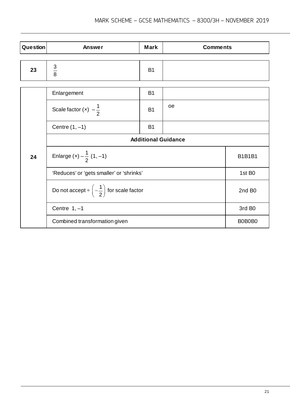| <b>Question</b> | <b>Answer</b>    | <b>Mark</b>    | <b>Comments</b> |
|-----------------|------------------|----------------|-----------------|
|                 |                  |                |                 |
| 23              | ົ<br>J<br>_<br>8 | B <sub>1</sub> |                 |

|    | Enlargement                                                     | <b>B1</b>     |    |                    |  |
|----|-----------------------------------------------------------------|---------------|----|--------------------|--|
|    | Scale factor $(x) -\frac{1}{2}$                                 | <b>B1</b>     | oe |                    |  |
|    | Centre $(1, -1)$                                                | <b>B1</b>     |    |                    |  |
|    | <b>Additional Guidance</b>                                      |               |    |                    |  |
| 24 | Enlarge (x) $-\frac{1}{2}$ (1, -1)                              | <b>B1B1B1</b> |    |                    |  |
|    | 'Reduces' or 'gets smaller' or 'shrinks'                        |               |    | 1st B <sub>0</sub> |  |
|    | Do not accept $\div \left(-\frac{1}{2}\right)$ for scale factor |               |    | 2nd B <sub>0</sub> |  |
|    | Centre $1, -1$                                                  |               |    | 3rd B <sub>0</sub> |  |
|    | Combined transformation given                                   |               |    | B0B0B0             |  |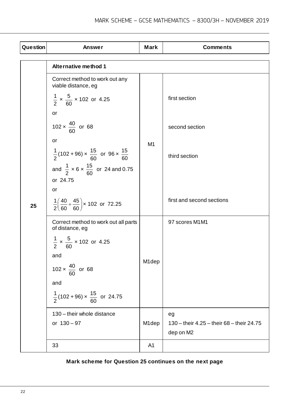| <b>Question</b> | <b>Answer</b>                                                              | <b>Mark</b>    | <b>Comments</b>                                        |  |  |
|-----------------|----------------------------------------------------------------------------|----------------|--------------------------------------------------------|--|--|
|                 |                                                                            |                |                                                        |  |  |
|                 | <b>Alternative method 1</b>                                                |                |                                                        |  |  |
|                 | Correct method to work out any<br>viable distance, eg                      |                |                                                        |  |  |
|                 | $\frac{1}{2} \times \frac{5}{60} \times 102$ or 4.25                       |                | first section                                          |  |  |
|                 | <b>or</b>                                                                  |                |                                                        |  |  |
|                 | $102 \times \frac{40}{60}$ or 68                                           |                | second section                                         |  |  |
|                 | or                                                                         | M1             |                                                        |  |  |
|                 | $\frac{1}{2}$ (102+96) × $\frac{15}{60}$ or 96 × $\frac{15}{60}$           |                | third section                                          |  |  |
|                 | and $\frac{1}{2} \times 6 \times \frac{15}{60}$ or 24 and 0.75<br>or 24.75 |                |                                                        |  |  |
|                 | or                                                                         |                |                                                        |  |  |
| 25              | $\frac{1}{2} \left( \frac{40}{60} + \frac{45}{60} \right)$ x 102 or 72.25  |                | first and second sections                              |  |  |
|                 | Correct method to work out all parts<br>of distance, eg                    |                | 97 scores M1M1                                         |  |  |
|                 | $\frac{1}{2} \times \frac{5}{60} \times 102$ or 4.25                       |                |                                                        |  |  |
|                 | and                                                                        |                |                                                        |  |  |
|                 | $102 \times \frac{40}{60}$ or 68                                           | M1dep          |                                                        |  |  |
|                 | and                                                                        |                |                                                        |  |  |
|                 | $\frac{1}{2}$ (102+96) × $\frac{15}{60}$ or 24.75                          |                |                                                        |  |  |
|                 | 130 - their whole distance                                                 |                | eg                                                     |  |  |
|                 | or $130 - 97$                                                              | M1dep          | 130 - their 4.25 - their 68 - their 24.75<br>dep on M2 |  |  |
|                 | 33                                                                         | A <sub>1</sub> |                                                        |  |  |
|                 |                                                                            |                |                                                        |  |  |

## **Mark scheme for Question 25 continues on the next page**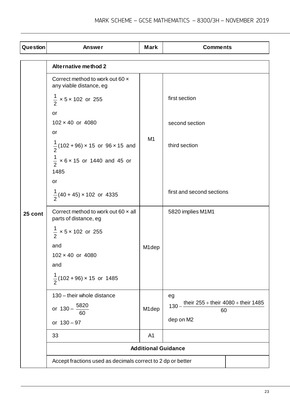| Question | Answer                                                              | <b>Mark</b>    | <b>Comments</b>                                          |  |  |
|----------|---------------------------------------------------------------------|----------------|----------------------------------------------------------|--|--|
|          | <b>Alternative method 2</b>                                         |                |                                                          |  |  |
|          | Correct method to work out 60 x<br>any viable distance, eg          |                |                                                          |  |  |
|          | $\frac{1}{2}$ × 5 × 102 or 255                                      |                | first section                                            |  |  |
|          | or                                                                  |                |                                                          |  |  |
|          | $102 \times 40$ or $4080$                                           |                | second section                                           |  |  |
|          | or                                                                  |                |                                                          |  |  |
|          | $\frac{1}{2}$ (102+96) × 15 or 96 × 15 and                          | M <sub>1</sub> | third section                                            |  |  |
|          | $\frac{1}{2}$ × 6 × 15 or 1440 and 45 or<br>1485                    |                |                                                          |  |  |
|          | or                                                                  |                |                                                          |  |  |
|          | $\frac{1}{2}$ (40 + 45) × 102 or 4335                               |                | first and second sections                                |  |  |
| 25 cont  | Correct method to work out 60 $\times$ all<br>parts of distance, eg |                | 5820 implies M1M1                                        |  |  |
|          | $\frac{1}{2}$ × 5 × 102 or 255                                      |                |                                                          |  |  |
|          | and                                                                 | M1dep          |                                                          |  |  |
|          | 102 × 40 or 4080                                                    |                |                                                          |  |  |
|          | and                                                                 |                |                                                          |  |  |
|          | $\frac{1}{2}$ (102+96) × 15 or 1485                                 |                |                                                          |  |  |
|          | 130 - their whole distance                                          |                | eg                                                       |  |  |
|          | or $130 - \frac{5820}{ }$<br>60                                     | M1dep          | their $255 +$ their $4080 +$ their 1485<br>$130 -$<br>60 |  |  |
|          | or $130 - 97$                                                       |                | dep on M2                                                |  |  |
|          | 33                                                                  | A <sub>1</sub> |                                                          |  |  |
|          | <b>Additional Guidance</b>                                          |                |                                                          |  |  |
|          | Accept fractions used as decimals correct to 2 dp or better         |                |                                                          |  |  |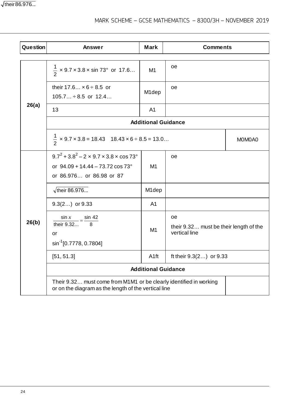$\sqrt{\text{their }86.976...}$ 

# MARK SCHEME – GCSE MATHEMATICS – 8300/3H – NOVEMBER 2019

| <b>Question</b> | Answer                                                                                                                         | <b>Mark</b>                | <b>Comments</b>                                               |  |  |
|-----------------|--------------------------------------------------------------------------------------------------------------------------------|----------------------------|---------------------------------------------------------------|--|--|
|                 | $\frac{1}{2}$ x 9.7 x 3.8 x sin 73° or 17.6                                                                                    | M1                         | oе                                                            |  |  |
|                 | their $17.6 \times 6 \div 8.5$ or<br>$105.7 \div 8.5$ or $12.4$                                                                | M <sub>1</sub> dep         | oe                                                            |  |  |
| 26(a)           | 13                                                                                                                             | A <sub>1</sub>             |                                                               |  |  |
|                 |                                                                                                                                | <b>Additional Guidance</b> |                                                               |  |  |
|                 | $\frac{1}{2}$ × 9.7 × 3.8 = 18.43 18.43 × 6 ÷ 8.5 = 13.0                                                                       | MOMOA0                     |                                                               |  |  |
|                 | $9.7^2 + 3.8^2 - 2 \times 9.7 \times 3.8 \times \cos 73^\circ$<br>or 94.09 + 14.44 - 73.72 cos 73°<br>or 86.976 or 86.98 or 87 | M1                         | oe                                                            |  |  |
|                 | $\sqrt{\text{their } 86.976}$                                                                                                  | M1dep                      |                                                               |  |  |
|                 | $9.3(2)$ or $9.33$                                                                                                             | A <sub>1</sub>             |                                                               |  |  |
| 26(b)           | $\frac{\sin x}{\text{their } 9.32} = \frac{\sin 42}{8}$<br>or<br>sin <sup>-1</sup> [0.7778, 0.7804]                            | M <sub>1</sub>             | oe<br>their 9.32 must be their length of the<br>vertical line |  |  |
|                 | [51, 51.3]                                                                                                                     | A <sub>1ft</sub>           | ft their $9.3(2)$ or $9.33$                                   |  |  |
|                 | <b>Additional Guidance</b>                                                                                                     |                            |                                                               |  |  |
|                 | Their 9.32 must come from M1M1 or be clearly identified in working<br>or on the diagram as the length of the vertical line     |                            |                                                               |  |  |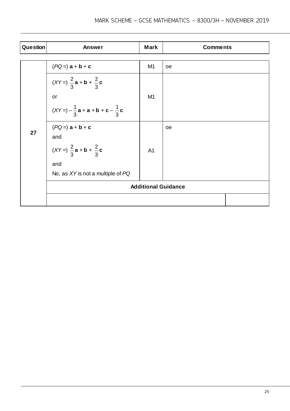| Question | Answer                                           | <b>Mark</b>    | <b>Comments</b> |
|----------|--------------------------------------------------|----------------|-----------------|
|          |                                                  |                |                 |
|          | $(PQ =) a + b + c$                               | M1             | oe              |
|          | $(XY=)\frac{2}{3}a + b + \frac{2}{3}c$<br>or     | M <sub>1</sub> |                 |
|          | $(XY = -\frac{1}{3}a + a + b + c - \frac{1}{3}c$ |                |                 |
|          |                                                  |                |                 |
| 27       | $(PQ =) a + b + c$                               |                | oe              |
|          | and                                              |                |                 |
|          | $(XY=)\frac{2}{3}a + b + \frac{2}{3}c$           | A <sub>1</sub> |                 |
|          | and                                              |                |                 |
|          | No, as XY is not a multiple of PQ                |                |                 |
|          | <b>Additional Guidance</b>                       |                |                 |
|          |                                                  |                |                 |